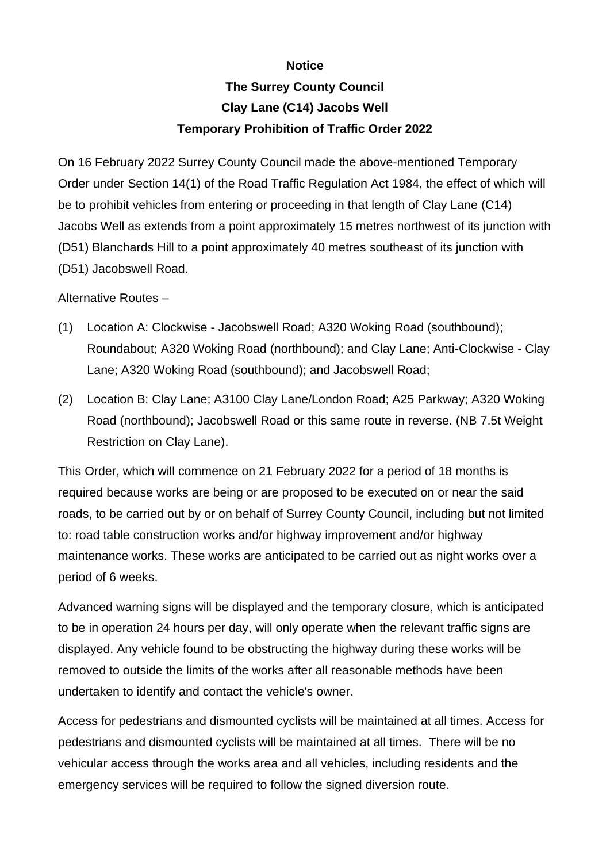## **Notice**

## **The Surrey County Council Clay Lane (C14) Jacobs Well Temporary Prohibition of Traffic Order 2022**

On 16 February 2022 Surrey County Council made the above-mentioned Temporary Order under Section 14(1) of the Road Traffic Regulation Act 1984, the effect of which will be to prohibit vehicles from entering or proceeding in that length of Clay Lane (C14) Jacobs Well as extends from a point approximately 15 metres northwest of its junction with (D51) Blanchards Hill to a point approximately 40 metres southeast of its junction with (D51) Jacobswell Road.

Alternative Routes –

- (1) Location A: Clockwise Jacobswell Road; A320 Woking Road (southbound); Roundabout; A320 Woking Road (northbound); and Clay Lane; Anti-Clockwise - Clay Lane; A320 Woking Road (southbound); and Jacobswell Road;
- (2) Location B: Clay Lane; A3100 Clay Lane/London Road; A25 Parkway; A320 Woking Road (northbound); Jacobswell Road or this same route in reverse. (NB 7.5t Weight Restriction on Clay Lane).

This Order, which will commence on 21 February 2022 for a period of 18 months is required because works are being or are proposed to be executed on or near the said roads, to be carried out by or on behalf of Surrey County Council, including but not limited to: road table construction works and/or highway improvement and/or highway maintenance works. These works are anticipated to be carried out as night works over a period of 6 weeks.

Advanced warning signs will be displayed and the temporary closure, which is anticipated to be in operation 24 hours per day, will only operate when the relevant traffic signs are displayed. Any vehicle found to be obstructing the highway during these works will be removed to outside the limits of the works after all reasonable methods have been undertaken to identify and contact the vehicle's owner.

Access for pedestrians and dismounted cyclists will be maintained at all times. Access for pedestrians and dismounted cyclists will be maintained at all times. There will be no vehicular access through the works area and all vehicles, including residents and the emergency services will be required to follow the signed diversion route.